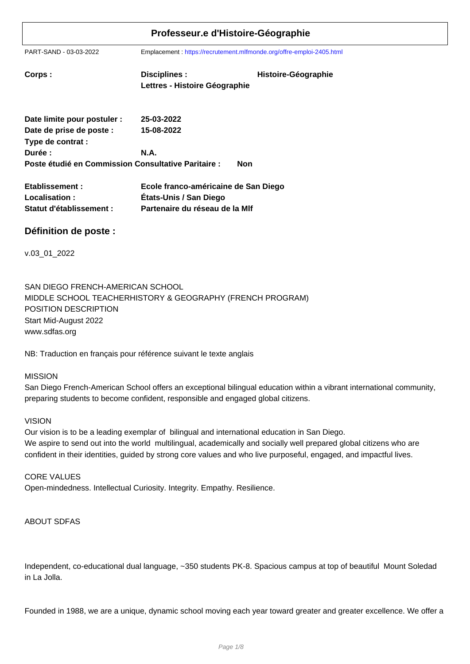PART-SAND - 03-03-2022 Emplacement : https://recrutement.mlfmonde.org/offre-emploi-2405.html

| Corps : | Disciplines :                 | Histoire-Géographie |
|---------|-------------------------------|---------------------|
|         | Lettres - Histoire Géographie |                     |
|         |                               |                     |

| Date limite pour postuler :                         | 25-03-2022 |     |
|-----------------------------------------------------|------------|-----|
| Date de prise de poste :                            | 15-08-2022 |     |
| Type de contrat :                                   |            |     |
| Durée :                                             | N.A.       |     |
| Poste étudié en Commission Consultative Paritaire : |            | Non |

| Etablissement :          | Ecole franco-américaine de San Diego |
|--------------------------|--------------------------------------|
| Localisation:            | États-Unis / San Diego               |
| Statut d'établissement : | Partenaire du réseau de la MIf       |

## **Définition de poste :**

v.03\_01\_2022

SAN DIEGO FRENCH-AMERICAN SCHOOL MIDDLE SCHOOL TEACHERHISTORY & GEOGRAPHY (FRENCH PROGRAM) POSITION DESCRIPTION Start Mid-August 2022 www.sdfas.org

NB: Traduction en français pour référence suivant le texte anglais

#### MISSION

San Diego French-American School offers an exceptional bilingual education within a vibrant international community, preparing students to become confident, responsible and engaged global citizens.

#### VISION

Our vision is to be a leading exemplar of bilingual and international education in San Diego. We aspire to send out into the world multilingual, academically and socially well prepared global citizens who are confident in their identities, guided by strong core values and who live purposeful, engaged, and impactful lives.

CORE VALUES Open-mindedness. Intellectual Curiosity. Integrity. Empathy. Resilience.

#### ABOUT SDFAS

Independent, co-educational dual language, ~350 students PK-8. Spacious campus at top of beautiful Mount Soledad in La Jolla.

Founded in 1988, we are a unique, dynamic school moving each year toward greater and greater excellence. We offer a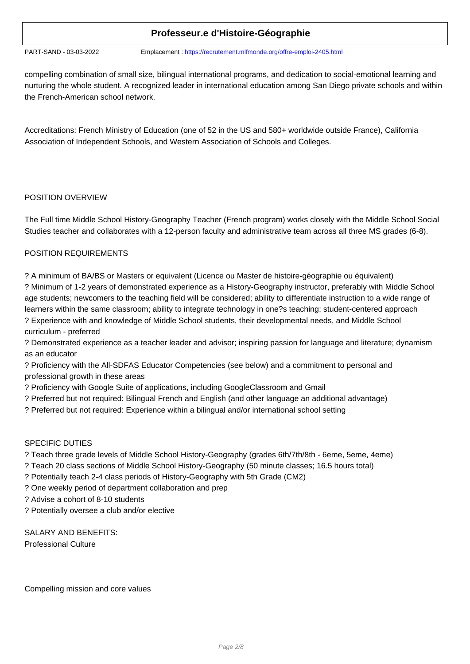PART-SAND - 03-03-2022 Emplacement : https://recrutement.mlfmonde.org/offre-emploi-2405.html

compelling combination of small size, bilingual international programs, and dedication to social-emotional learning and nurturing the whole student. A recognized leader in international education among San Diego private schools and within the French-American school network.

Accreditations: French Ministry of Education (one of 52 in the US and 580+ worldwide outside France), California Association of Independent Schools, and Western Association of Schools and Colleges.

### POSITION OVERVIEW

The Full time Middle School History-Geography Teacher (French program) works closely with the Middle School Social Studies teacher and collaborates with a 12-person faculty and administrative team across all three MS grades (6-8).

### POSITION REQUIREMENTS

? A minimum of BA/BS or Masters or equivalent (Licence ou Master de histoire-géographie ou équivalent)

? Minimum of 1-2 years of demonstrated experience as a History-Geography instructor, preferably with Middle School age students; newcomers to the teaching field will be considered; ability to differentiate instruction to a wide range of learners within the same classroom; ability to integrate technology in one?s teaching; student-centered approach ? Experience with and knowledge of Middle School students, their developmental needs, and Middle School curriculum - preferred

? Demonstrated experience as a teacher leader and advisor; inspiring passion for language and literature; dynamism as an educator

? Proficiency with the All-SDFAS Educator Competencies (see below) and a commitment to personal and professional growth in these areas

- ? Proficiency with Google Suite of applications, including GoogleClassroom and Gmail
- ? Preferred but not required: Bilingual French and English (and other language an additional advantage)
- ? Preferred but not required: Experience within a bilingual and/or international school setting

## SPECIFIC DUTIES

- ? Teach three grade levels of Middle School History-Geography (grades 6th/7th/8th 6eme, 5eme, 4eme)
- ? Teach 20 class sections of Middle School History-Geography (50 minute classes; 16.5 hours total)
- ? Potentially teach 2-4 class periods of History-Geography with 5th Grade (CM2)
- ? One weekly period of department collaboration and prep
- ? Advise a cohort of 8-10 students
- ? Potentially oversee a club and/or elective

SALARY AND BENEFITS:

Professional Culture

Compelling mission and core values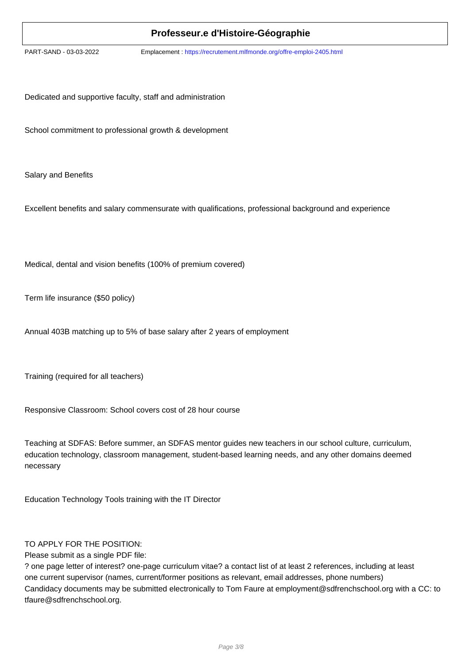PART-SAND - 03-03-2022 Emplacement : https://recrutement.mlfmonde.org/offre-emploi-2405.html

Dedicated and supportive faculty, staff and administration

School commitment to professional growth & development

Salary and Benefits

Excellent benefits and salary commensurate with qualifications, professional background and experience

Medical, dental and vision benefits (100% of premium covered)

Term life insurance (\$50 policy)

Annual 403B matching up to 5% of base salary after 2 years of employment

Training (required for all teachers)

Responsive Classroom: School covers cost of 28 hour course

Teaching at SDFAS: Before summer, an SDFAS mentor guides new teachers in our school culture, curriculum, education technology, classroom management, student-based learning needs, and any other domains deemed necessary

Education Technology Tools training with the IT Director

#### TO APPLY FOR THE POSITION:

Please submit as a single PDF file:

? one page letter of interest? one-page curriculum vitae? a contact list of at least 2 references, including at least one current supervisor (names, current/former positions as relevant, email addresses, phone numbers) Candidacy documents may be submitted electronically to Tom Faure at employment@sdfrenchschool.org with a CC: to tfaure@sdfrenchschool.org.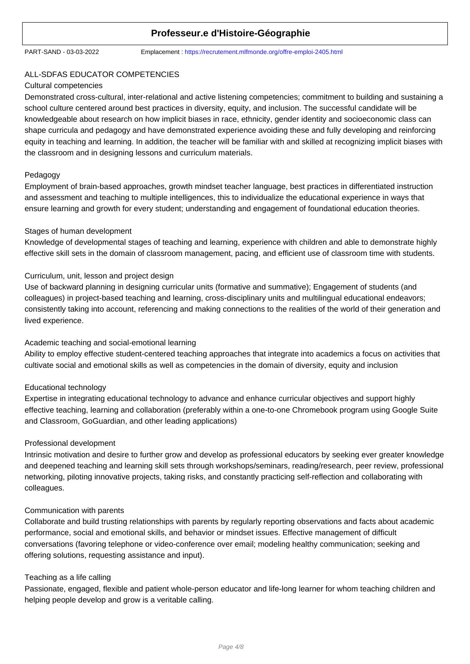PART-SAND - 03-03-2022 Emplacement : https://recrutement.mlfmonde.org/offre-emploi-2405.html

## ALL-SDFAS EDUCATOR COMPETENCIES

#### Cultural competencies

Demonstrated cross-cultural, inter-relational and active listening competencies; commitment to building and sustaining a school culture centered around best practices in diversity, equity, and inclusion. The successful candidate will be knowledgeable about research on how implicit biases in race, ethnicity, gender identity and socioeconomic class can shape curricula and pedagogy and have demonstrated experience avoiding these and fully developing and reinforcing equity in teaching and learning. In addition, the teacher will be familiar with and skilled at recognizing implicit biases with the classroom and in designing lessons and curriculum materials.

### Pedagogy

Employment of brain-based approaches, growth mindset teacher language, best practices in differentiated instruction and assessment and teaching to multiple intelligences, this to individualize the educational experience in ways that ensure learning and growth for every student; understanding and engagement of foundational education theories.

### Stages of human development

Knowledge of developmental stages of teaching and learning, experience with children and able to demonstrate highly effective skill sets in the domain of classroom management, pacing, and efficient use of classroom time with students.

## Curriculum, unit, lesson and project design

Use of backward planning in designing curricular units (formative and summative); Engagement of students (and colleagues) in project-based teaching and learning, cross-disciplinary units and multilingual educational endeavors; consistently taking into account, referencing and making connections to the realities of the world of their generation and lived experience.

## Academic teaching and social-emotional learning

Ability to employ effective student-centered teaching approaches that integrate into academics a focus on activities that cultivate social and emotional skills as well as competencies in the domain of diversity, equity and inclusion

### Educational technology

Expertise in integrating educational technology to advance and enhance curricular objectives and support highly effective teaching, learning and collaboration (preferably within a one-to-one Chromebook program using Google Suite and Classroom, GoGuardian, and other leading applications)

### Professional development

Intrinsic motivation and desire to further grow and develop as professional educators by seeking ever greater knowledge and deepened teaching and learning skill sets through workshops/seminars, reading/research, peer review, professional networking, piloting innovative projects, taking risks, and constantly practicing self-reflection and collaborating with colleagues.

### Communication with parents

Collaborate and build trusting relationships with parents by regularly reporting observations and facts about academic performance, social and emotional skills, and behavior or mindset issues. Effective management of difficult conversations (favoring telephone or video-conference over email; modeling healthy communication; seeking and offering solutions, requesting assistance and input).

### Teaching as a life calling

Passionate, engaged, flexible and patient whole-person educator and life-long learner for whom teaching children and helping people develop and grow is a veritable calling.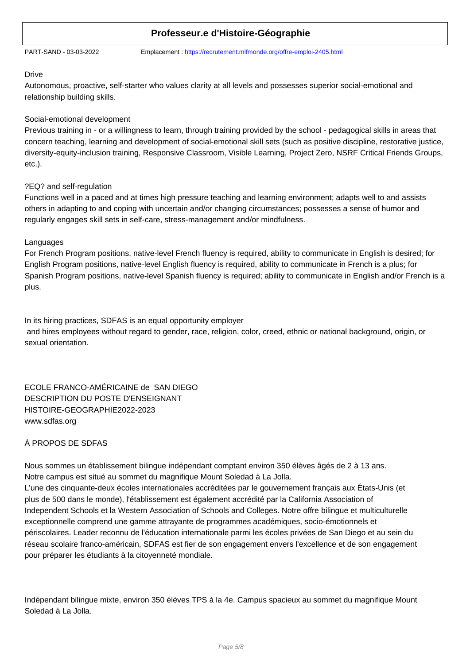PART-SAND - 03-03-2022 Emplacement : https://recrutement.mlfmonde.org/offre-emploi-2405.html

#### Drive

Autonomous, proactive, self-starter who values clarity at all levels and possesses superior social-emotional and relationship building skills.

### Social-emotional development

Previous training in - or a willingness to learn, through training provided by the school - pedagogical skills in areas that concern teaching, learning and development of social-emotional skill sets (such as positive discipline, restorative justice, diversity-equity-inclusion training, Responsive Classroom, Visible Learning, Project Zero, NSRF Critical Friends Groups, etc.).

## ?EQ? and self-regulation

Functions well in a paced and at times high pressure teaching and learning environment; adapts well to and assists others in adapting to and coping with uncertain and/or changing circumstances; possesses a sense of humor and regularly engages skill sets in self-care, stress-management and/or mindfulness.

### Languages

For French Program positions, native-level French fluency is required, ability to communicate in English is desired; for English Program positions, native-level English fluency is required, ability to communicate in French is a plus; for Spanish Program positions, native-level Spanish fluency is required; ability to communicate in English and/or French is a plus.

In its hiring practices, SDFAS is an equal opportunity employer and hires employees without regard to gender, race, religion, color, creed, ethnic or national background, origin, or sexual orientation.

ECOLE FRANCO-AMÉRICAINE de SAN DIEGO DESCRIPTION DU POSTE D'ENSEIGNANT HISTOIRE-GEOGRAPHIE2022-2023 www.sdfas.org

## À PROPOS DE SDFAS

Nous sommes un établissement bilingue indépendant comptant environ 350 élèves âgés de 2 à 13 ans. Notre campus est situé au sommet du magnifique Mount Soledad à La Jolla.

L'une des cinquante-deux écoles internationales accréditées par le gouvernement français aux États-Unis (et plus de 500 dans le monde), l'établissement est également accrédité par la California Association of Independent Schools et la Western Association of Schools and Colleges. Notre offre bilingue et multiculturelle exceptionnelle comprend une gamme attrayante de programmes académiques, socio-émotionnels et périscolaires. Leader reconnu de l'éducation internationale parmi les écoles privées de San Diego et au sein du réseau scolaire franco-américain, SDFAS est fier de son engagement envers l'excellence et de son engagement pour préparer les étudiants à la citoyenneté mondiale.

Indépendant bilingue mixte, environ 350 élèves TPS à la 4e. Campus spacieux au sommet du magnifique Mount Soledad à La Jolla.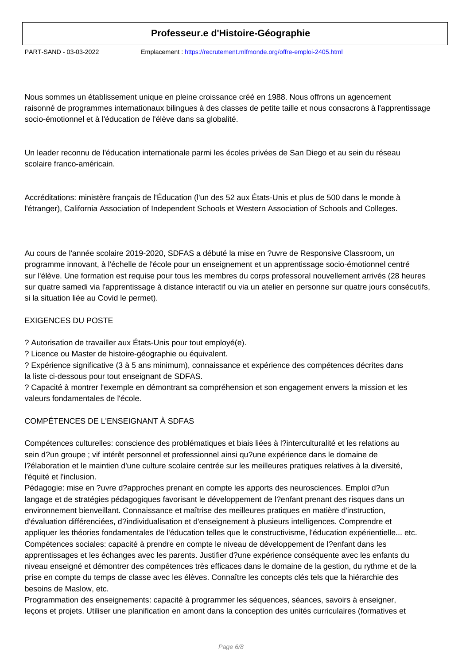PART-SAND - 03-03-2022 Emplacement : https://recrutement.mlfmonde.org/offre-emploi-2405.html

Nous sommes un établissement unique en pleine croissance créé en 1988. Nous offrons un agencement raisonné de programmes internationaux bilingues à des classes de petite taille et nous consacrons à l'apprentissage socio-émotionnel et à l'éducation de l'élève dans sa globalité.

Un leader reconnu de l'éducation internationale parmi les écoles privées de San Diego et au sein du réseau scolaire franco-américain.

Accréditations: ministère français de l'Éducation (l'un des 52 aux États-Unis et plus de 500 dans le monde à l'étranger), California Association of Independent Schools et Western Association of Schools and Colleges.

Au cours de l'année scolaire 2019-2020, SDFAS a débuté la mise en ?uvre de Responsive Classroom, un programme innovant, à l'échelle de l'école pour un enseignement et un apprentissage socio-émotionnel centré sur l'élève. Une formation est requise pour tous les membres du corps professoral nouvellement arrivés (28 heures sur quatre samedi via l'apprentissage à distance interactif ou via un atelier en personne sur quatre jours consécutifs, si la situation liée au Covid le permet).

## EXIGENCES DU POSTE

? Autorisation de travailler aux États-Unis pour tout employé(e).

? Licence ou Master de histoire-géographie ou équivalent.

? Expérience significative (3 à 5 ans minimum), connaissance et expérience des compétences décrites dans la liste ci-dessous pour tout enseignant de SDFAS.

? Capacité à montrer l'exemple en démontrant sa compréhension et son engagement envers la mission et les valeurs fondamentales de l'école.

## COMPÉTENCES DE L'ENSEIGNANT À SDFAS

Compétences culturelles: conscience des problématiques et biais liées à l?interculturalité et les relations au sein d?un groupe ; vif intérêt personnel et professionnel ainsi qu?une expérience dans le domaine de l?élaboration et le maintien d'une culture scolaire centrée sur les meilleures pratiques relatives à la diversité, l'équité et l'inclusion.

Pédagogie: mise en ?uvre d?approches prenant en compte les apports des neurosciences. Emploi d?un langage et de stratégies pédagogiques favorisant le développement de l?enfant prenant des risques dans un environnement bienveillant. Connaissance et maîtrise des meilleures pratiques en matière d'instruction, d'évaluation différenciées, d?individualisation et d'enseignement à plusieurs intelligences. Comprendre et appliquer les théories fondamentales de l'éducation telles que le constructivisme, l'éducation expérientielle... etc. Compétences sociales: capacité à prendre en compte le niveau de développement de l?enfant dans les apprentissages et les échanges avec les parents. Justifier d?une expérience conséquente avec les enfants du niveau enseigné et démontrer des compétences très efficaces dans le domaine de la gestion, du rythme et de la prise en compte du temps de classe avec les élèves. Connaître les concepts clés tels que la hiérarchie des besoins de Maslow, etc.

Programmation des enseignements: capacité à programmer les séquences, séances, savoirs à enseigner, leçons et projets. Utiliser une planification en amont dans la conception des unités curriculaires (formatives et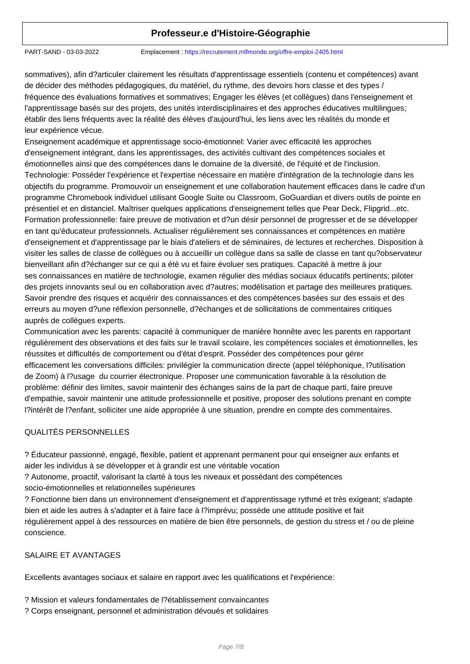PART-SAND - 03-03-2022 Emplacement : https://recrutement.mlfmonde.org/offre-emploi-2405.html

sommatives), afin d?articuler clairement les résultats d'apprentissage essentiels (contenu et compétences) avant de décider des méthodes pédagogiques, du matériel, du rythme, des devoirs hors classe et des types / fréquence des évaluations formatives et sommatives; Engager les élèves (et collègues) dans l'enseignement et l'apprentissage basés sur des projets, des unités interdisciplinaires et des approches éducatives multilingues; établir des liens fréquents avec la réalité des élèves d'aujourd'hui, les liens avec les réalités du monde et leur expérience vécue.

Enseignement académique et apprentissage socio-émotionnel: Varier avec efficacité les approches d'enseignement intégrant, dans les apprentissages, des activités cultivant des compétences sociales et émotionnelles ainsi que des compétences dans le domaine de la diversité, de l'équité et de l'inclusion. Technologie: Posséder l'expérience et l'expertise nécessaire en matière d'intégration de la technologie dans les objectifs du programme. Promouvoir un enseignement et une collaboration hautement efficaces dans le cadre d'un programme Chromebook individuel utilisant Google Suite ou Classroom, GoGuardian et divers outils de pointe en présentiel et en distanciel. Maîtriser quelques applications d'enseignement telles que Pear Deck, Flipgrid...etc. Formation professionnelle: faire preuve de motivation et d?un désir personnel de progresser et de se développer en tant qu'éducateur professionnels. Actualiser régulièrement ses connaissances et compétences en matière d'enseignement et d'apprentissage par le biais d'ateliers et de séminaires, de lectures et recherches. Disposition à visiter les salles de classe de collègues ou à accueillir un collègue dans sa salle de classe en tant qu?observateur bienveillant afin d?échanger sur ce qui a été vu et faire évoluer ses pratiques. Capacité à mettre à jour ses connaissances en matière de technologie, examen régulier des médias sociaux éducatifs pertinents; piloter des projets innovants seul ou en collaboration avec d?autres; modélisation et partage des meilleures pratiques. Savoir prendre des risques et acquérir des connaissances et des compétences basées sur des essais et des erreurs au moyen d?une réflexion personnelle, d?échanges et de sollicitations de commentaires critiques auprès de collègues experts.

Communication avec les parents: capacité à communiquer de manière honnête avec les parents en rapportant régulièrement des observations et des faits sur le travail scolaire, les compétences sociales et émotionnelles, les réussites et difficultés de comportement ou d'état d'esprit. Posséder des compétences pour gérer efficacement les conversations difficiles: privilégier la communication directe (appel téléphonique, l?utilisation de Zoom) à l?usage du courrier électronique. Proposer une communication favorable à la résolution de problème: définir des limites, savoir maintenir des échanges sains de la part de chaque parti, faire preuve d'empathie, savoir maintenir une attitude professionnelle et positive, proposer des solutions prenant en compte l?intérêt de l?enfant, solliciter une aide appropriée à une situation, prendre en compte des commentaires.

### QUALITÉS PERSONNELLES

? Éducateur passionné, engagé, flexible, patient et apprenant permanent pour qui enseigner aux enfants et aider les individus à se développer et à grandir est une véritable vocation

? Autonome, proactif, valorisant la clarté à tous les niveaux et possédant des compétences socio-émotionnelles et relationnelles supérieures

? Fonctionne bien dans un environnement d'enseignement et d'apprentissage rythmé et très exigeant; s'adapte bien et aide les autres à s'adapter et à faire face à l?imprévu; possède une attitude positive et fait régulièrement appel à des ressources en matière de bien être personnels, de gestion du stress et / ou de pleine conscience.

### SALAIRE ET AVANTAGES

Excellents avantages sociaux et salaire en rapport avec les qualifications et l'expérience:

- ? Mission et valeurs fondamentales de l?établissement convaincantes
- ? Corps enseignant, personnel et administration dévoués et solidaires